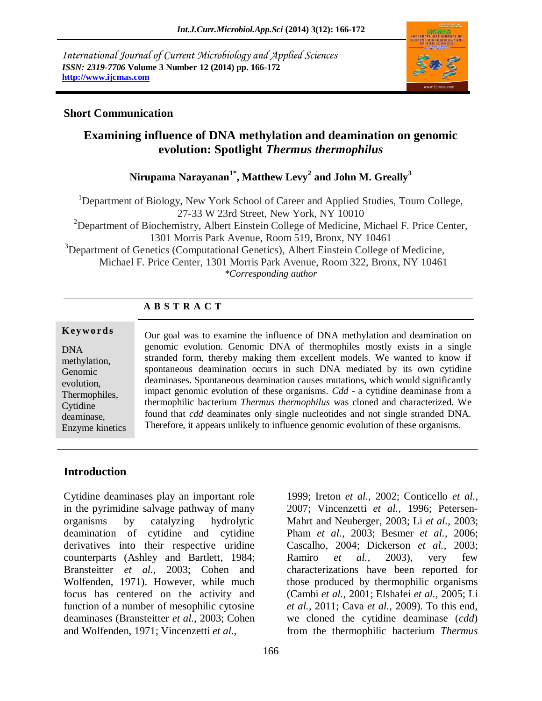*International Journal of Current Microbiology and Applied Sciences ISSN: 2319-7706* **Volume 3 Number 12 (2014) pp. 166-172 http://www.ijcmas.com** 



### **Short Communication**

# **Examining influence of DNA methylation and deamination on genomic evolution: Spotlight** *Thermus thermophilus*

### **Nirupama Narayanan1\* , Matthew Levy<sup>2</sup> and John M. Greally<sup>3</sup>**

<sup>1</sup>Department of Biology, New York School of Career and Applied Studies, Touro College, 27-33 W 23rd Street, New York, NY 10010  $2D$  Department of Biochemistry, Albert Einstein College of Medicine, Michael F. Price Center, 1301 Morris Park Avenue, Room 519, Bronx, NY 10461 <sup>3</sup>Department of Genetics (Computational Genetics), Albert Einstein College of Medicine, Michael F. Price Center, 1301 Morris Park Avenue, Room 322, Bronx, NY 10461 *\*Corresponding author* 

# **A B S T R A C T**

### **K ey w o rd s**

DNA methylation, Genomic evolution, Thermophiles, Cytidine deaminase, Enzyme kinetics Our goal was to examine the influence of DNA methylation and deamination on genomic evolution. Genomic DNA of thermophiles mostly exists in a single stranded form, thereby making them excellent models. We wanted to know if spontaneous deamination occurs in such DNA mediated by its own cytidine deaminases. Spontaneous deamination causes mutations, which would significantly impact genomic evolution of these organisms. *Cdd* - a cytidine deaminase from a thermophilic bacterium *Thermus thermophilus* was cloned and characterized. We found that *cdd* deaminates only single nucleotides and not single stranded DNA. Therefore, it appears unlikely to influence genomic evolution of these organisms.

### **Introduction**

Cytidine deaminases play an important role in the pyrimidine salvage pathway of many organisms by catalyzing hydrolytic deamination of cytidine and cytidine derivatives into their respective uridine counterparts (Ashley and Bartlett, 1984; Bransteitter *et al.,* 2003; Cohen and Wolfenden, 1971). However, while much focus has centered on the activity and function of a number of mesophilic cytosine deaminases (Bransteitter *et al.,* 2003; Cohen and Wolfenden, 1971; Vincenzetti *et al.,*

1999; Ireton *et al.,* 2002; Conticello *et al.,* 2007; Vincenzetti *et al.,* 1996; Petersen-Mahrt and Neuberger, 2003; Li *et al.,* 2003; Pham *et al.,* 2003; Besmer *et al.,* 2006; Cascalho, 2004; Dickerson *et al.,* 2003; Ramiro *et al.,* 2003), very few characterizations have been reported for those produced by thermophilic organisms (Cambi *et al.,* 2001; Elshafei *et al.,* 2005; Li *et al.,* 2011; Cava *et al.,* 2009). To this end, we cloned the cytidine deaminase (*cdd*) from the thermophilic bacterium *Thermus*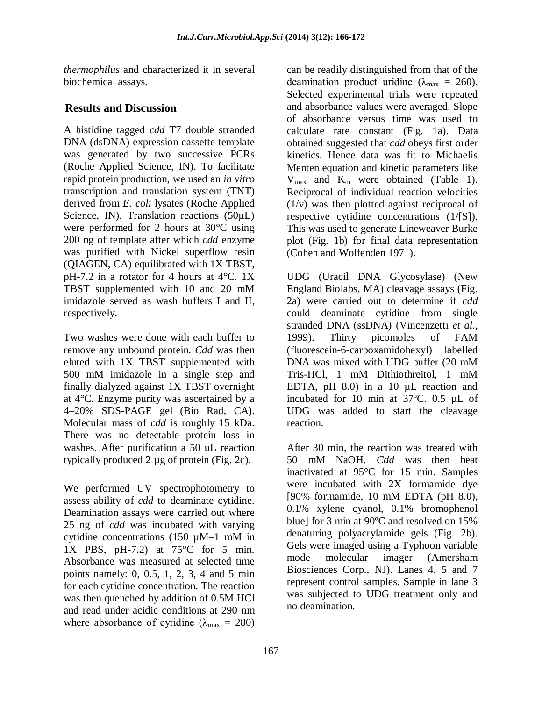*thermophilus* and characterized it in several biochemical assays.

### **Results and Discussion**

A histidine tagged *cdd* T7 double stranded DNA (dsDNA) expression cassette template was generated by two successive PCRs (Roche Applied Science, IN). To facilitate rapid protein production, we used an *in vitro* transcription and translation system (TNT) derived from *E. coli* lysates (Roche Applied Science, IN). Translation reactions (50µL) were performed for 2 hours at 30°C using 200 ng of template after which *cdd* enzyme was purified with Nickel superflow resin (QIAGEN, CA) equilibrated with 1X TBST, pH-7.2 in a rotator for 4 hours at 4°C. 1X TBST supplemented with 10 and 20 mM imidazole served as wash buffers I and II, respectively.

Two washes were done with each buffer to remove any unbound protein. *Cdd* was then eluted with 1X TBST supplemented with 500 mM imidazole in a single step and finally dialyzed against 1X TBST overnight at 4°C. Enzyme purity was ascertained by a 4–20% SDS-PAGE gel (Bio Rad, CA). Molecular mass of *cdd* is roughly 15 kDa. There was no detectable protein loss in washes. After purification a 50 uL reaction typically produced 2 µg of protein (Fig. 2c).

We performed UV spectrophotometry to assess ability of *cdd* to deaminate cytidine. Deamination assays were carried out where 25 ng of *cdd* was incubated with varying cytidine concentrations (150 µM–1 mM in 1X PBS, pH-7.2) at 75°C for 5 min. Absorbance was measured at selected time points namely: 0, 0.5, 1, 2, 3, 4 and 5 min for each cytidine concentration. The reaction was then quenched by addition of 0.5M HCl and read under acidic conditions at 290 nm where absorbance of cytidine ( $\lambda_{\text{max}} = 280$ )

can be readily distinguished from that of the deamination product uridine ( $\lambda_{\text{max}} = 260$ ). Selected experimental trials were repeated and absorbance values were averaged. Slope of absorbance versus time was used to calculate rate constant (Fig. 1a). Data obtained suggested that *cdd* obeys first order kinetics. Hence data was fit to Michaelis Menten equation and kinetic parameters like  $V_{\text{max}}$  and  $K_{\text{m}}$  were obtained (Table 1). Reciprocal of individual reaction velocities (1/v) was then plotted against reciprocal of respective cytidine concentrations (1/[S]). This was used to generate Lineweaver Burke plot (Fig. 1b) for final data representation (Cohen and Wolfenden 1971).

UDG (Uracil DNA Glycosylase) (New England Biolabs, MA) cleavage assays (Fig. 2a) were carried out to determine if *cdd*  could deaminate cytidine from single stranded DNA (ssDNA) (Vincenzetti *et al.,* 1999). Thirty picomoles of FAM (fluorescein-6-carboxamidohexyl) labelled DNA was mixed with UDG buffer (20 mM Tris-HCl, 1 mM Dithiothreitol, 1 mM EDTA, pH 8.0) in a 10 µL reaction and incubated for 10 min at 37ºC. 0.5 µL of UDG was added to start the cleavage reaction.

After 30 min, the reaction was treated with 50 mM NaOH. *Cdd* was then heat inactivated at 95°C for 15 min. Samples were incubated with 2X formamide dye [90% formamide, 10 mM EDTA (pH 8.0), 0.1% xylene cyanol, 0.1% bromophenol blue] for 3 min at 90ºC and resolved on 15% denaturing polyacrylamide gels (Fig. 2b). Gels were imaged using a Typhoon variable mode molecular imager (Amersham Biosciences Corp., NJ). Lanes 4, 5 and 7 represent control samples. Sample in lane 3 was subjected to UDG treatment only and no deamination.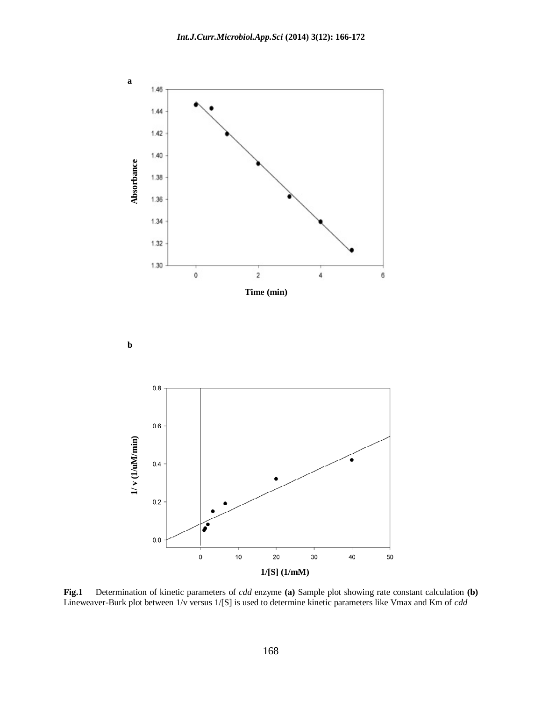

**Fig.1** Determination of kinetic parameters of *cdd* enzyme **(a)** Sample plot showing rate constant calculation **(b)**  Lineweaver-Burk plot between 1/v versus 1/[S] is used to determine kinetic parameters like Vmax and Km of *cdd*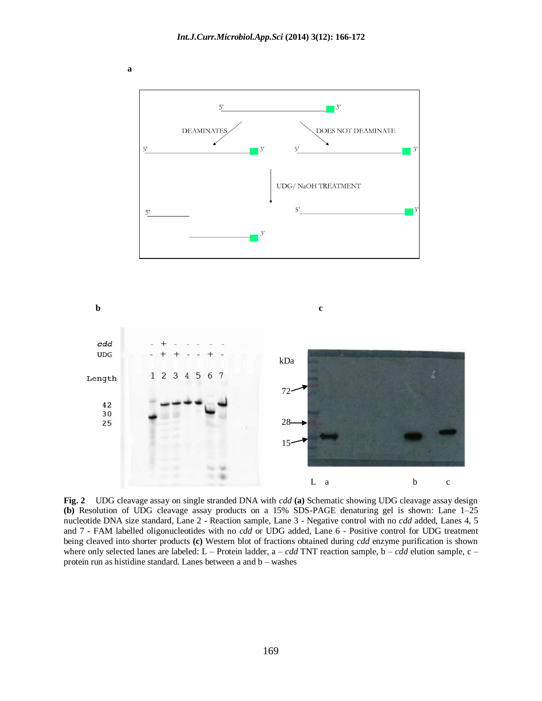

**Fig. 2** UDG cleavage assay on single stranded DNA with *cdd* **(a)** Schematic showing UDG cleavage assay design **(b)** Resolution of UDG cleavage assay products on a 15% SDS-PAGE denaturing gel is shown: Lane 1–25 nucleotide DNA size standard, Lane 2 - Reaction sample, Lane 3 - Negative control with no *cdd* added, Lanes 4, 5 and 7 - FAM labelled oligonucleotides with no *cdd* or UDG added, Lane 6 - Positive control for UDG treatment being cleaved into shorter products **(c)** Western blot of fractions obtained during *cdd* enzyme purification is shown where only selected lanes are labeled: L – Protein ladder, a – *cdd* TNT reaction sample, b – *cdd* elution sample, c – protein run as histidine standard. Lanes between a and b – washes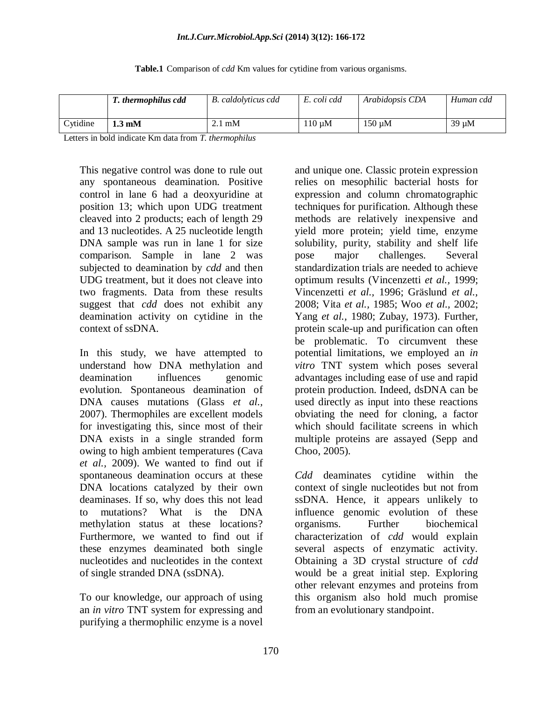#### *Int.J.Curr.Microbiol.App.Sci* **(2014) 3(12): 166-172**

|  | Table.1 Comparison of <i>cdd</i> Km values for cytidine from various organisms. |  |  |  |  |  |  |
|--|---------------------------------------------------------------------------------|--|--|--|--|--|--|
|--|---------------------------------------------------------------------------------|--|--|--|--|--|--|

|                  | T. thermophilus cdd       | <b>B.</b> caldolyticus cdd | E. coli cdd | Arabidopsis CDA | Human cdd  |
|------------------|---------------------------|----------------------------|-------------|-----------------|------------|
| $\gamma$ vtidine | $1.3 \text{ }\mathrm{mM}$ | mM                         | $110 \mu M$ | $150 \mu M$     | $39 \mu M$ |

Letters in bold indicate Km data from *T. thermophilus*

This negative control was done to rule out any spontaneous deamination. Positive control in lane 6 had a deoxyuridine at position 13; which upon UDG treatment cleaved into 2 products; each of length 29 and 13 nucleotides. A 25 nucleotide length DNA sample was run in lane 1 for size comparison. Sample in lane 2 was subjected to deamination by *cdd* and then UDG treatment, but it does not cleave into two fragments. Data from these results suggest that *cdd* does not exhibit any deamination activity on cytidine in the context of ssDNA.

In this study, we have attempted to understand how DNA methylation and deamination influences genomic evolution. Spontaneous deamination of DNA causes mutations (Glass *et al.,* 2007). Thermophiles are excellent models for investigating this, since most of their DNA exists in a single stranded form owing to high ambient temperatures (Cava *et al.,* 2009). We wanted to find out if spontaneous deamination occurs at these DNA locations catalyzed by their own deaminases. If so, why does this not lead to mutations? What is the DNA methylation status at these locations? Furthermore, we wanted to find out if these enzymes deaminated both single nucleotides and nucleotides in the context of single stranded DNA (ssDNA).

To our knowledge, our approach of using an *in vitro* TNT system for expressing and purifying a thermophilic enzyme is a novel

and unique one. Classic protein expression relies on mesophilic bacterial hosts for expression and column chromatographic techniques for purification. Although these methods are relatively inexpensive and yield more protein; yield time, enzyme solubility, purity, stability and shelf life pose major challenges. Several standardization trials are needed to achieve optimum results (Vincenzetti *et al.,* 1999; Vincenzetti *et al.,* 1996; Gräslund *et al.,* 2008; Vita *et al.,* 1985; Woo *et al.,* 2002; Yang *et al.,* 1980; Zubay, 1973). Further, protein scale-up and purification can often be problematic. To circumvent these potential limitations, we employed an *in vitro* TNT system which poses several advantages including ease of use and rapid protein production. Indeed, dsDNA can be used directly as input into these reactions obviating the need for cloning, a factor which should facilitate screens in which multiple proteins are assayed (Sepp and Choo, 2005).

*Cdd* deaminates cytidine within the context of single nucleotides but not from ssDNA. Hence, it appears unlikely to influence genomic evolution of these organisms. Further biochemical characterization of *cdd* would explain several aspects of enzymatic activity. Obtaining a 3D crystal structure of *cdd* would be a great initial step. Exploring other relevant enzymes and proteins from this organism also hold much promise from an evolutionary standpoint.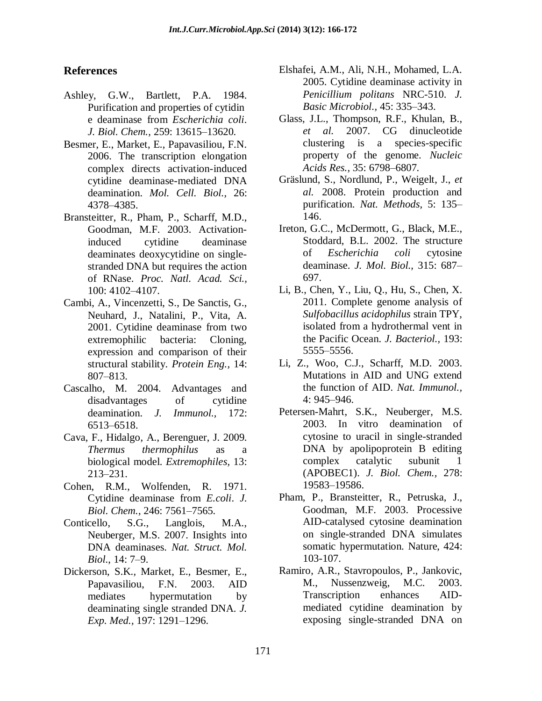### **References**

- Ashley, G.W., Bartlett, P.A. 1984. Purification and properties of cytidin e deaminase from *Escherichia coli*. *J. Biol. Chem.,* 259: 13615–13620.
- Besmer, E., Market, E., Papavasiliou, F.N. 2006. The transcription elongation complex directs activation-induced cytidine deaminase-mediated DNA deamination. *Mol. Cell. Biol.,* 26: 4378–4385.
- Bransteitter, R., Pham, P., Scharff, M.D., Goodman, M.F. 2003. Activationinduced cytidine deaminase deaminates deoxycytidine on singlestranded DNA but requires the action of RNase. *Proc. Natl. Acad. Sci.,* 100: 4102–4107.
- Cambi, A., Vincenzetti, S., De Sanctis, G., Neuhard, J., Natalini, P., Vita, A. 2001. Cytidine deaminase from two extremophilic bacteria: Cloning, expression and comparison of their structural stability. *Protein Eng.,* 14: 807–813.
- Cascalho, M. 2004. Advantages and disadvantages of cytidine deamination. *J. Immunol.,* 172: 6513–6518.
- Cava, F., Hidalgo, A., Berenguer, J. 2009. *Thermus thermophilus* as a biological model. *Extremophiles,* 13: 213–231.
- Cohen, R.M., Wolfenden, R. 1971. Cytidine deaminase from *E.coli*. *J. Biol. Chem.,* 246: 7561–7565.
- Conticello, S.G., Langlois, M.A., Neuberger, M.S. 2007. Insights into DNA deaminases. *Nat. Struct. Mol. Biol.,* 14: 7–9.
- Dickerson, S.K., Market, E., Besmer, E., Papavasiliou, F.N. 2003. AID mediates hypermutation by deaminating single stranded DNA. *J. Exp. Med.,* 197: 1291–1296.
- Elshafei, A.M., Ali, N.H., Mohamed, L.A. 2005. Cytidine deaminase activity in *Penicillium politans* NRC-510. *J. Basic Microbiol.,* 45: 335–343.
- Glass, J.L., Thompson, R.F., Khulan, B., *et al.* 2007. CG dinucleotide clustering is a species-specific property of the genome. *Nucleic Acids Res.,* 35: 6798–6807.
- Gräslund, S., Nordlund, P., Weigelt, J., *et al.* 2008. Protein production and purification. *Nat. Methods,* 5: 135– 146.
- Ireton, G.C., McDermott, G., Black, M.E., Stoddard, B.L. 2002. The structure of *Escherichia coli* cytosine deaminase. *J. Mol. Biol.,* 315: 687– 697.
- Li, B., Chen, Y., Liu, Q., Hu, S., Chen, X. 2011. Complete genome analysis of *Sulfobacillus acidophilus* strain TPY, isolated from a hydrothermal vent in the Pacific Ocean. *J. Bacteriol.,* 193: 5555–5556.
- Li, Z., Woo, C.J., Scharff, M.D. 2003. Mutations in AID and UNG extend the function of AID. *Nat. Immunol.,* 4: 945–946.
- Petersen-Mahrt, S.K., Neuberger, M.S. 2003. In vitro deamination of cytosine to uracil in single-stranded DNA by apolipoprotein B editing complex catalytic subunit 1 (APOBEC1). *J. Biol. Chem.,* 278: 19583–19586.
- Pham, P., Bransteitter, R., Petruska, J., Goodman, M.F. 2003. Processive AID-catalysed cytosine deamination on single-stranded DNA simulates somatic hypermutation. Nature, 424: 103-107.
- Ramiro, A.R., Stavropoulos, P., Jankovic, M., Nussenzweig, M.C. 2003. Transcription enhances AIDmediated cytidine deamination by exposing single-stranded DNA on